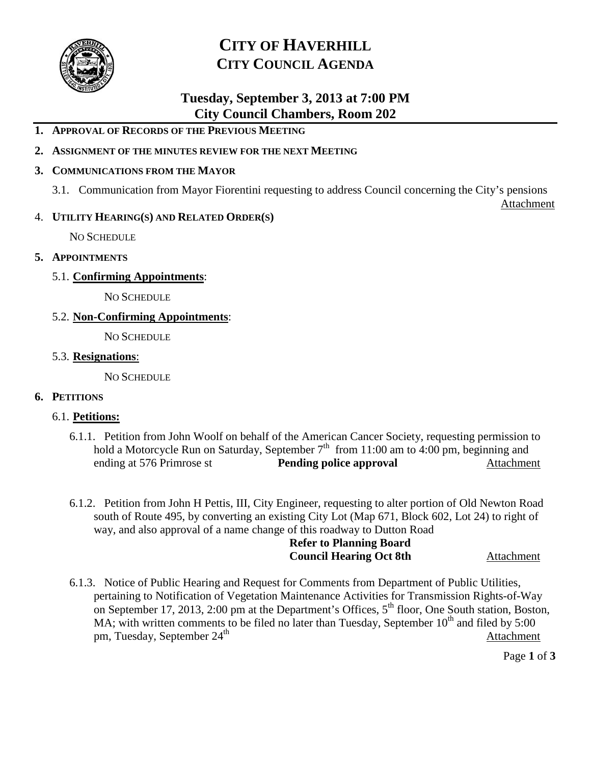

# **CITY OF HAVERHILL CITY COUNCIL AGENDA**

# **Tuesday, September 3, 2013 at 7:00 PM City Council Chambers, Room 202**

# **1. APPROVAL OF RECORDS OF THE PREVIOUS MEETING**

## **2. ASSIGNMENT OF THE MINUTES REVIEW FOR THE NEXT MEETING**

#### **3. COMMUNICATIONS FROM THE MAYOR**

3.1. Communication from Mayor Fiorentini requesting to address Council concerning the City's pensions

**Attachment** 

### 4. **UTILITY HEARING(S) AND RELATED ORDER(S)**

NO SCHEDULE

### **5. APPOINTMENTS**

5.1. **Confirming Appointments**:

NO SCHEDULE

5.2. **Non-Confirming Appointments**:

NO SCHEDULE

### 5.3. **Resignations**:

NO SCHEDULE

#### **6. PETITIONS**

#### 6.1. **Petitions:**

- 6.1.1. Petition from John Woolf on behalf of the American Cancer Society, requesting permission to hold a Motorcycle Run on Saturday, September  $7<sup>th</sup>$  from 11:00 am to 4:00 pm, beginning and ending at 576 Primrose st **Pending police approval** Attachment
- 6.1.2. Petition from John H Pettis, III, City Engineer, requesting to alter portion of Old Newton Road south of Route 495, by converting an existing City Lot (Map 671, Block 602, Lot 24) to right of way, and also approval of a name change of this roadway to Dutton Road

# **Refer to Planning Board Council Hearing Oct 8th Attachment**

6.1.3. Notice of Public Hearing and Request for Comments from Department of Public Utilities, pertaining to Notification of Vegetation Maintenance Activities for Transmission Rights-of-Way on September 17, 2013, 2:00 pm at the Department's Offices,  $5<sup>th</sup>$  floor, One South station, Boston, MA; with written comments to be filed no later than Tuesday, September  $10^{th}$  and filed by 5:00 pm, Tuesday, September 24<sup>th</sup> Attachment

Page **1** of **3**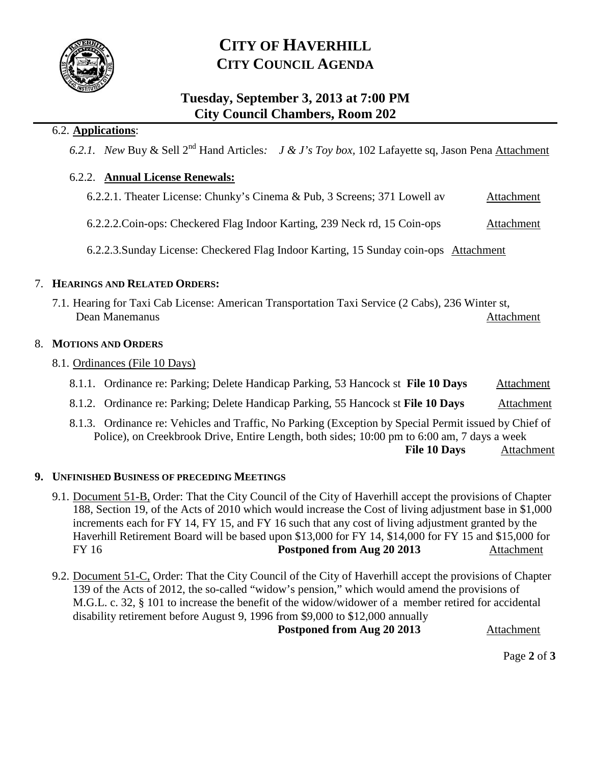

# **CITY OF HAVERHILL CITY COUNCIL AGENDA**

# **Tuesday, September 3, 2013 at 7:00 PM City Council Chambers, Room 202**

# 6.2. **Applications**:

*6.2.1. New* Buy & Sell 2nd Hand Articles*: J & J's Toy box,* 102 Lafayette sq, Jason Pena Attachment

# 6.2.2. **Annual License Renewals:**

- 6.2.2.1. Theater License: Chunky's Cinema & Pub, 3 Screens; 371 Lowell av Attachment
- 6.2.2.2.Coin-ops: Checkered Flag Indoor Karting, 239 Neck rd, 15 Coin-ops Attachment

6.2.2.3.Sunday License: Checkered Flag Indoor Karting, 15 Sunday coin-ops Attachment

## 7. **HEARINGS AND RELATED ORDERS:**

7.1. Hearing for Taxi Cab License: American Transportation Taxi Service (2 Cabs), 236 Winter st, Dean Manemanus Attachment

## 8. **MOTIONS AND ORDERS**

- 8.1. Ordinances (File 10 Days)
	- 8.1.1. Ordinance re: Parking; Delete Handicap Parking, 53 Hancock st File 10 Days Attachment
	- 8.1.2. Ordinance re: Parking; Delete Handicap Parking, 55 Hancock st **File 10 Days** Attachment
	- 8.1.3. Ordinance re: Vehicles and Traffic, No Parking (Exception by Special Permit issued by Chief of Police), on Creekbrook Drive, Entire Length, both sides; 10:00 pm to 6:00 am, 7 days a week **File 10 Days** Attachment

## **9. UNFINISHED BUSINESS OF PRECEDING MEETINGS**

- 9.1. Document 51-B, Order: That the City Council of the City of Haverhill accept the provisions of Chapter 188, Section 19, of the Acts of 2010 which would increase the Cost of living adjustment base in \$1,000 increments each for FY 14, FY 15, and FY 16 such that any cost of living adjustment granted by the Haverhill Retirement Board will be based upon \$13,000 for FY 14, \$14,000 for FY 15 and \$15,000 for FY 16 **Postponed from Aug 20 2013** Attachment
- 9.2. Document 51-C, Order: That the City Council of the City of Haverhill accept the provisions of Chapter 139 of the Acts of 2012, the so-called "widow's pension," which would amend the provisions of M.G.L. c. 32, § 101 to increase the benefit of the widow/widower of a member retired for accidental disability retirement before August 9, 1996 from \$9,000 to \$12,000 annually

**Postponed from Aug 20 2013** Attachment

Page **2** of **3**